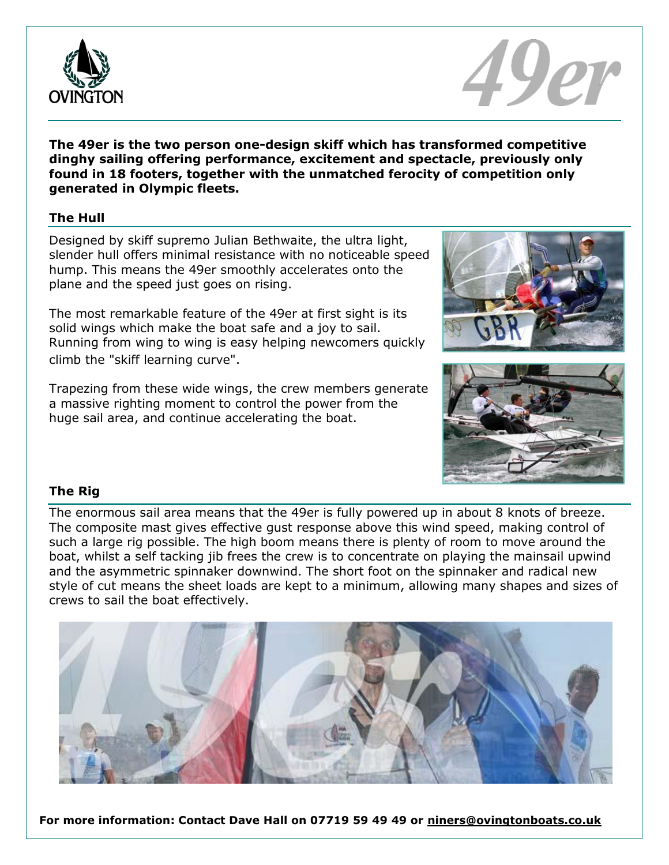



**The 49er is the two person one-design skiff which has transformed competitive dinghy sailing offering performance, excitement and spectacle, previously only found in 18 footers, together with the unmatched ferocity of competition only generated in Olympic fleets.**

## **The Hull**

Designed by skiff supremo Julian Bethwaite, the ultra light, slender hull offers minimal resistance with no noticeable speed hump. This means the 49er smoothly accelerates onto the plane and the speed just goes on rising.

The most remarkable feature of the 49er at first sight is its solid wings which make the boat safe and a joy to sail. Running from wing to wing is easy helping newcomers quickly climb the "skiff learning curve".

Trapezing from these wide wings, the crew members generate a massive righting moment to control the power from the huge sail area, and continue accelerating the boat.





## **The Rig**

The enormous sail area means that the 49er is fully powered up in about 8 knots of breeze. The composite mast gives effective gust response above this wind speed, making control of such a large rig possible. The high boom means there is plenty of room to move around the boat, whilst a self tacking jib frees the crew is to concentrate on playing the mainsail upwind and the asymmetric spinnaker downwind. The short foot on the spinnaker and radical new style of cut means the sheet loads are kept to a minimum, allowing many shapes and sizes of crews to sail the boat effectively.



**For more information: Contact Dave Hall on 07719 59 49 49 or niners@ovingtonboats.co.uk**